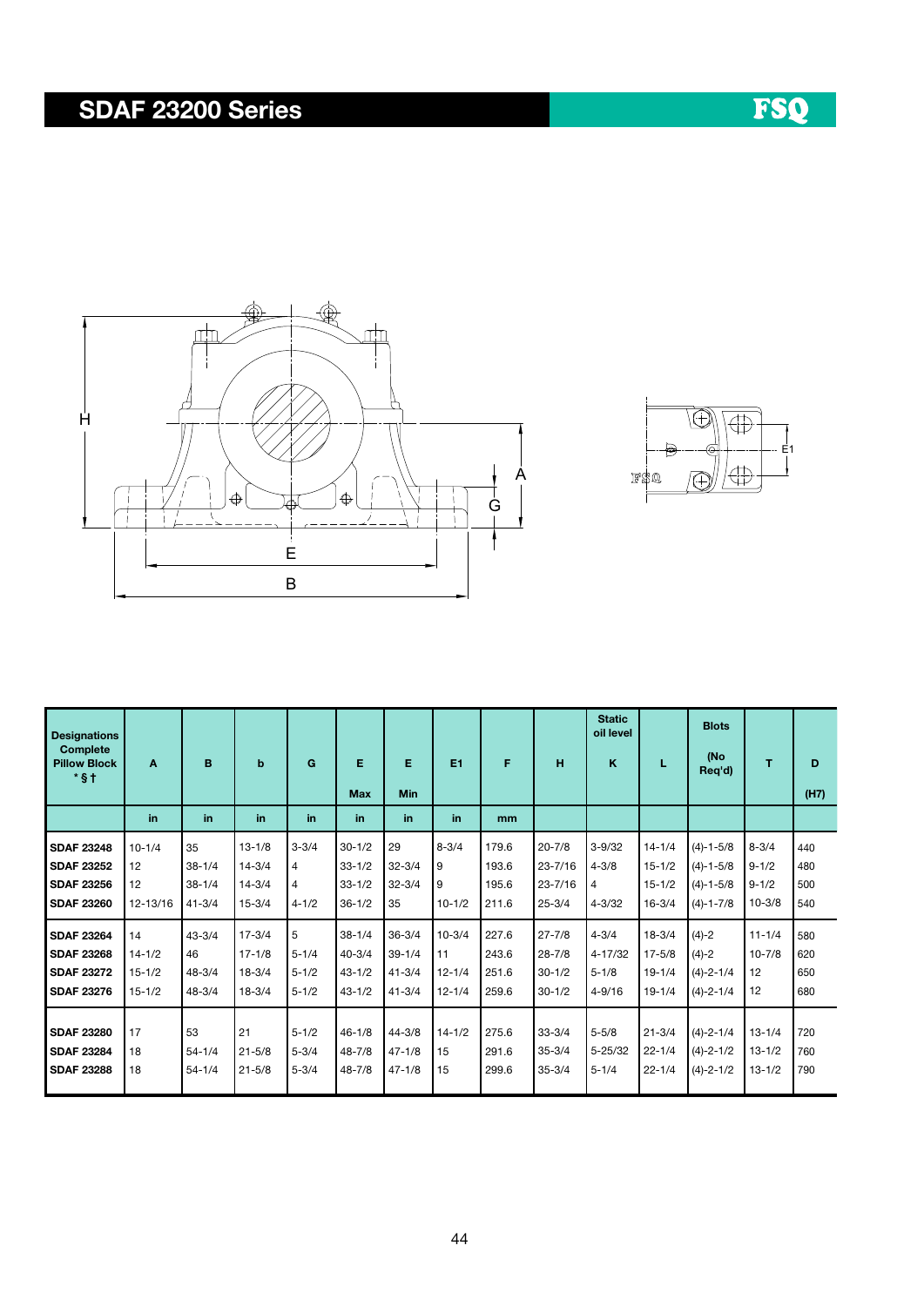## SDAF 23200 Series





| <b>Designations</b><br><b>Complete</b><br><b>Pillow Block</b><br>$*$ \$ $\dagger$ | A          | B          | $\mathbf b$ | G         | Е<br><b>Max</b> | Е<br>Min   | E1         | F     | н           | <b>Static</b><br>oil level<br>K | L          | <b>Blots</b><br>(No<br>Req'd) | т          | D<br>(H7) |
|-----------------------------------------------------------------------------------|------------|------------|-------------|-----------|-----------------|------------|------------|-------|-------------|---------------------------------|------------|-------------------------------|------------|-----------|
|                                                                                   | in.        | in         | in          | in.       | in.             | in.        | in         | mm    |             |                                 |            |                               |            |           |
| <b>SDAF 23248</b>                                                                 | $10 - 1/4$ | 35         | $13 - 1/8$  | $3 - 3/4$ | $30 - 1/2$      | 29         | $8 - 3/4$  | 179.6 | $20 - 7/8$  | $3 - 9/32$                      | $14 - 1/4$ | $(4)-1-5/8$                   | $8 - 3/4$  | 440       |
| <b>SDAF 23252</b>                                                                 | 12         | $38 - 1/4$ | $14 - 3/4$  | 4         | $33 - 1/2$      | $32 - 3/4$ | 9          | 193.6 | $23 - 7/16$ | $4 - 3/8$                       | $15 - 1/2$ | $(4)-1-5/8$                   | $9 - 1/2$  | 480       |
| <b>SDAF 23256</b>                                                                 | 12         | $38 - 1/4$ | $14 - 3/4$  | 4         | $33 - 1/2$      | $32 - 3/4$ | 9          | 195.6 | $23 - 7/16$ | 4                               | $15 - 1/2$ | $(4)-1-5/8$                   | $9 - 1/2$  | 500       |
| <b>SDAF 23260</b>                                                                 | 12-13/16   | $41 - 3/4$ | $15 - 3/4$  | $4 - 1/2$ | $36 - 1/2$      | 35         | $10 - 1/2$ | 211.6 | $25 - 3/4$  | $4 - 3/32$                      | $16 - 3/4$ | $(4)-1-7/8$                   | $10 - 3/8$ | 540       |
| <b>SDAF 23264</b>                                                                 | 14         | $43 - 3/4$ | $17 - 3/4$  | 5         | $38 - 1/4$      | $36 - 3/4$ | $10 - 3/4$ | 227.6 | $27 - 7/8$  | $4 - 3/4$                       | $18 - 3/4$ | $(4)-2$                       | $11 - 1/4$ | 580       |
| <b>SDAF 23268</b>                                                                 | $14 - 1/2$ | 46         | $17 - 1/8$  | $5 - 1/4$ | $40 - 3/4$      | $39 - 1/4$ | 11         | 243.6 | $28 - 7/8$  | 4-17/32                         | $17 - 5/8$ | $(4)-2$                       | $10 - 7/8$ | 620       |
| <b>SDAF 23272</b>                                                                 | $15 - 1/2$ | $48 - 3/4$ | $18 - 3/4$  | $5 - 1/2$ | $43 - 1/2$      | $41 - 3/4$ | $12 - 1/4$ | 251.6 | $30 - 1/2$  | $5 - 1/8$                       | $19 - 1/4$ | $(4)-2-1/4$                   | 12         | 650       |
| <b>SDAF 23276</b>                                                                 | $15 - 1/2$ | $48 - 3/4$ | $18 - 3/4$  | $5 - 1/2$ | $43 - 1/2$      | $41 - 3/4$ | $12 - 1/4$ | 259.6 | $30 - 1/2$  | $4 - 9/16$                      | $19 - 1/4$ | $(4)-2-1/4$                   | 12         | 680       |
|                                                                                   |            |            |             |           |                 |            |            |       |             |                                 |            |                               |            |           |
| <b>SDAF 23280</b>                                                                 | 17         | 53         | 21          | $5 - 1/2$ | $46 - 1/8$      | $44 - 3/8$ | $14 - 1/2$ | 275.6 | $33 - 3/4$  | $5 - 5/8$                       | $21 - 3/4$ | $(4) - 2 - 1/4$               | $13 - 1/4$ | 720       |
| <b>SDAF 23284</b>                                                                 | 18         | $54 - 1/4$ | $21 - 5/8$  | $5 - 3/4$ | $48 - 7/8$      | $47 - 1/8$ | 15         | 291.6 | $35 - 3/4$  | 5-25/32                         | $22 - 1/4$ | $(4) - 2 - 1/2$               | $13 - 1/2$ | 760       |
| <b>SDAF 23288</b>                                                                 | 18         | $54 - 1/4$ | $21 - 5/8$  | $5 - 3/4$ | $48 - 7/8$      | $47 - 1/8$ | 15         | 299.6 | $35 - 3/4$  | $5 - 1/4$                       | $22 - 1/4$ | $(4)-2-1/2$                   | $13 - 1/2$ | 790       |

# FSQ